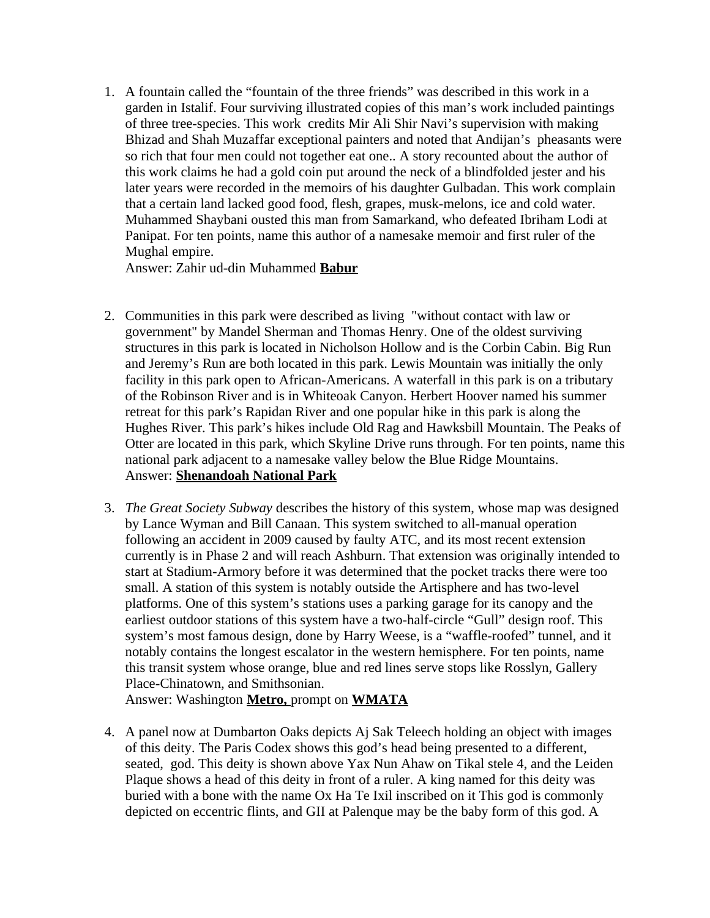1. A fountain called the "fountain of the three friends" was described in this work in a garden in Istalif. Four surviving illustrated copies of this man's work included paintings of three tree-species. This work credits Mir Ali Shir Navi's supervision with making Bhizad and Shah Muzaffar exceptional painters and noted that Andijan's pheasants were so rich that four men could not together eat one.. A story recounted about the author of this work claims he had a gold coin put around the neck of a blindfolded jester and his later years were recorded in the memoirs of his daughter Gulbadan. This work complain that a certain land lacked good food, flesh, grapes, musk-melons, ice and cold water. Muhammed Shaybani ousted this man from Samarkand, who defeated Ibriham Lodi at Panipat. For ten points, name this author of a namesake memoir and first ruler of the Mughal empire.

Answer: Zahir ud-din Muhammed **Babur**

- 2. Communities in this park were described as living "without contact with law or government" by Mandel Sherman and Thomas Henry. One of the oldest surviving structures in this park is located in Nicholson Hollow and is the Corbin Cabin. Big Run and Jeremy's Run are both located in this park. Lewis Mountain was initially the only facility in this park open to African-Americans. A waterfall in this park is on a tributary of the Robinson River and is in Whiteoak Canyon. Herbert Hoover named his summer retreat for this park's Rapidan River and one popular hike in this park is along the Hughes River. This park's hikes include Old Rag and Hawksbill Mountain. The Peaks of Otter are located in this park, which Skyline Drive runs through. For ten points, name this national park adjacent to a namesake valley below the Blue Ridge Mountains. Answer: **Shenandoah National Park**
- 3. *The Great Society Subway* describes the history of this system, whose map was designed by Lance Wyman and Bill Canaan. This system switched to all-manual operation following an accident in 2009 caused by faulty ATC, and its most recent extension currently is in Phase 2 and will reach Ashburn. That extension was originally intended to start at Stadium-Armory before it was determined that the pocket tracks there were too small. A station of this system is notably outside the Artisphere and has two-level platforms. One of this system's stations uses a parking garage for its canopy and the earliest outdoor stations of this system have a two-half-circle "Gull" design roof. This system's most famous design, done by Harry Weese, is a "waffle-roofed" tunnel, and it notably contains the longest escalator in the western hemisphere. For ten points, name this transit system whose orange, blue and red lines serve stops like Rosslyn, Gallery Place-Chinatown, and Smithsonian.

Answer: Washington **Metro,** prompt on **WMATA**

4. A panel now at Dumbarton Oaks depicts Aj Sak Teleech holding an object with images of this deity. The Paris Codex shows this god's head being presented to a different, seated, god. This deity is shown above Yax Nun Ahaw on Tikal stele 4, and the Leiden Plaque shows a head of this deity in front of a ruler. A king named for this deity was buried with a bone with the name Ox Ha Te Ixil inscribed on it This god is commonly depicted on eccentric flints, and GII at Palenque may be the baby form of this god. A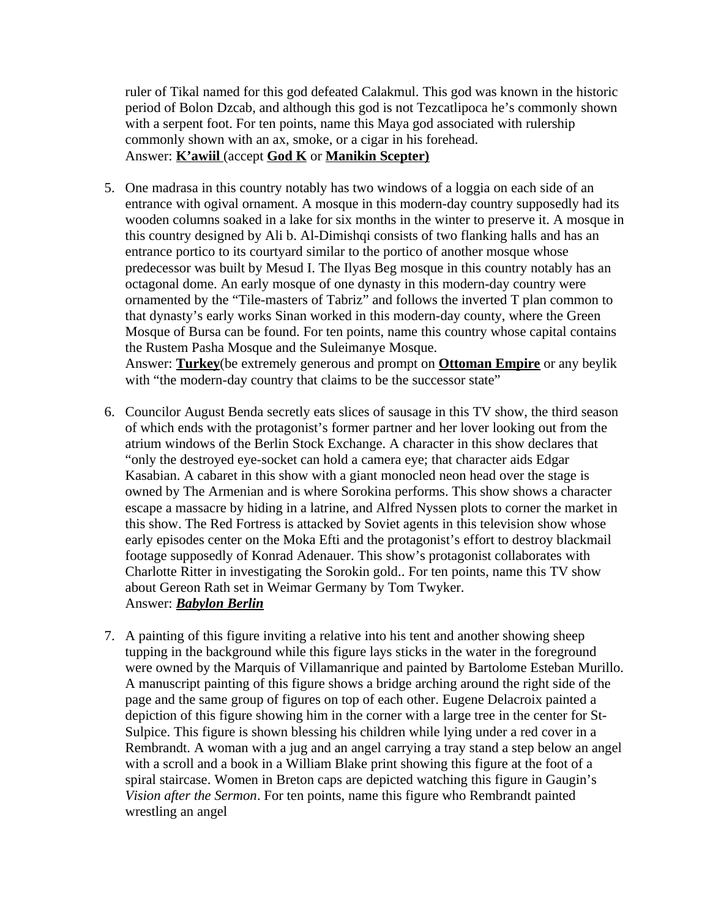ruler of Tikal named for this god defeated Calakmul. This god was known in the historic period of Bolon Dzcab, and although this god is not Tezcatlipoca he's commonly shown with a serpent foot. For ten points, name this Maya god associated with rulership commonly shown with an ax, smoke, or a cigar in his forehead. Answer: **K'awiil** (accept **God K** or **Manikin Scepter)**

- 5. One madrasa in this country notably has two windows of a loggia on each side of an entrance with ogival ornament. A mosque in this modern-day country supposedly had its wooden columns soaked in a lake for six months in the winter to preserve it. A mosque in this country designed by Ali b. Al-Dimishqi consists of two flanking halls and has an entrance portico to its courtyard similar to the portico of another mosque whose predecessor was built by Mesud I. The Ilyas Beg mosque in this country notably has an octagonal dome. An early mosque of one dynasty in this modern-day country were ornamented by the "Tile-masters of Tabriz" and follows the inverted T plan common to that dynasty's early works Sinan worked in this modern-day county, where the Green Mosque of Bursa can be found. For ten points, name this country whose capital contains the Rustem Pasha Mosque and the Suleimanye Mosque. Answer: **Turkey**(be extremely generous and prompt on **Ottoman Empire** or any beylik with "the modern-day country that claims to be the successor state"
- 6. Councilor August Benda secretly eats slices of sausage in this TV show, the third season of which ends with the protagonist's former partner and her lover looking out from the atrium windows of the Berlin Stock Exchange. A character in this show declares that "only the destroyed eye-socket can hold a camera eye; that character aids Edgar Kasabian. A cabaret in this show with a giant monocled neon head over the stage is owned by The Armenian and is where Sorokina performs. This show shows a character escape a massacre by hiding in a latrine, and Alfred Nyssen plots to corner the market in this show. The Red Fortress is attacked by Soviet agents in this television show whose early episodes center on the Moka Efti and the protagonist's effort to destroy blackmail footage supposedly of Konrad Adenauer. This show's protagonist collaborates with Charlotte Ritter in investigating the Sorokin gold.. For ten points, name this TV show about Gereon Rath set in Weimar Germany by Tom Twyker. Answer: *Babylon Berlin*
- 7. A painting of this figure inviting a relative into his tent and another showing sheep tupping in the background while this figure lays sticks in the water in the foreground were owned by the Marquis of Villamanrique and painted by Bartolome Esteban Murillo. A manuscript painting of this figure shows a bridge arching around the right side of the page and the same group of figures on top of each other. Eugene Delacroix painted a depiction of this figure showing him in the corner with a large tree in the center for St-Sulpice. This figure is shown blessing his children while lying under a red cover in a Rembrandt. A woman with a jug and an angel carrying a tray stand a step below an angel with a scroll and a book in a William Blake print showing this figure at the foot of a spiral staircase. Women in Breton caps are depicted watching this figure in Gaugin's *Vision after the Sermon*. For ten points, name this figure who Rembrandt painted wrestling an angel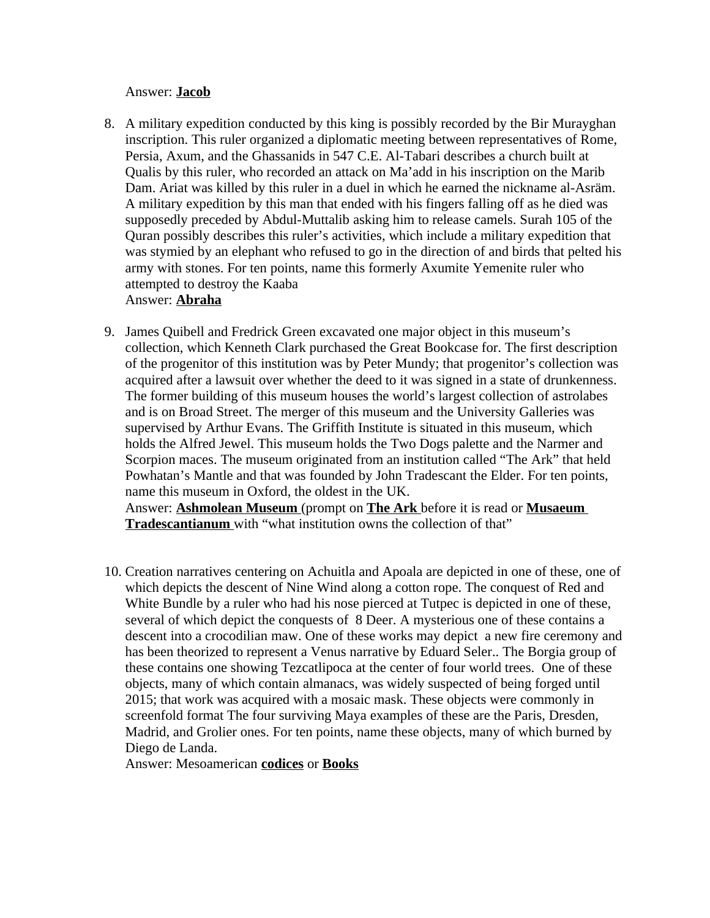## Answer: **Jacob**

8. A military expedition conducted by this king is possibly recorded by the Bir Murayghan inscription. This ruler organized a diplomatic meeting between representatives of Rome, Persia, Axum, and the Ghassanids in 547 C.E. Al-Tabari describes a church built at Qualis by this ruler, who recorded an attack on Ma'add in his inscription on the Marib Dam. Ariat was killed by this ruler in a duel in which he earned the nickname al-Asräm. A military expedition by this man that ended with his fingers falling off as he died was supposedly preceded by Abdul-Muttalib asking him to release camels. Surah 105 of the Quran possibly describes this ruler's activities, which include a military expedition that was stymied by an elephant who refused to go in the direction of and birds that pelted his army with stones. For ten points, name this formerly Axumite Yemenite ruler who attempted to destroy the Kaaba

## Answer: **Abraha**

9. James Quibell and Fredrick Green excavated one major object in this museum's collection, which Kenneth Clark purchased the Great Bookcase for. The first description of the progenitor of this institution was by Peter Mundy; that progenitor's collection was acquired after a lawsuit over whether the deed to it was signed in a state of drunkenness. The former building of this museum houses the world's largest collection of astrolabes and is on Broad Street. The merger of this museum and the University Galleries was supervised by Arthur Evans. The Griffith Institute is situated in this museum, which holds the Alfred Jewel. This museum holds the Two Dogs palette and the Narmer and Scorpion maces. The museum originated from an institution called "The Ark" that held Powhatan's Mantle and that was founded by John Tradescant the Elder. For ten points, name this museum in Oxford, the oldest in the UK. Answer: **Ashmolean Museum** (prompt on **The Ark** before it is read or **Musaeum** 

**Tradescantianum** with "what institution owns the collection of that"

10. Creation narratives centering on Achuitla and Apoala are depicted in one of these, one of which depicts the descent of Nine Wind along a cotton rope. The conquest of Red and White Bundle by a ruler who had his nose pierced at Tutpec is depicted in one of these, several of which depict the conquests of 8 Deer. A mysterious one of these contains a descent into a crocodilian maw. One of these works may depict a new fire ceremony and has been theorized to represent a Venus narrative by Eduard Seler.. The Borgia group of these contains one showing Tezcatlipoca at the center of four world trees. One of these objects, many of which contain almanacs, was widely suspected of being forged until 2015; that work was acquired with a mosaic mask. These objects were commonly in screenfold format The four surviving Maya examples of these are the Paris, Dresden, Madrid, and Grolier ones. For ten points, name these objects, many of which burned by Diego de Landa.

Answer: Mesoamerican **codices** or **Books**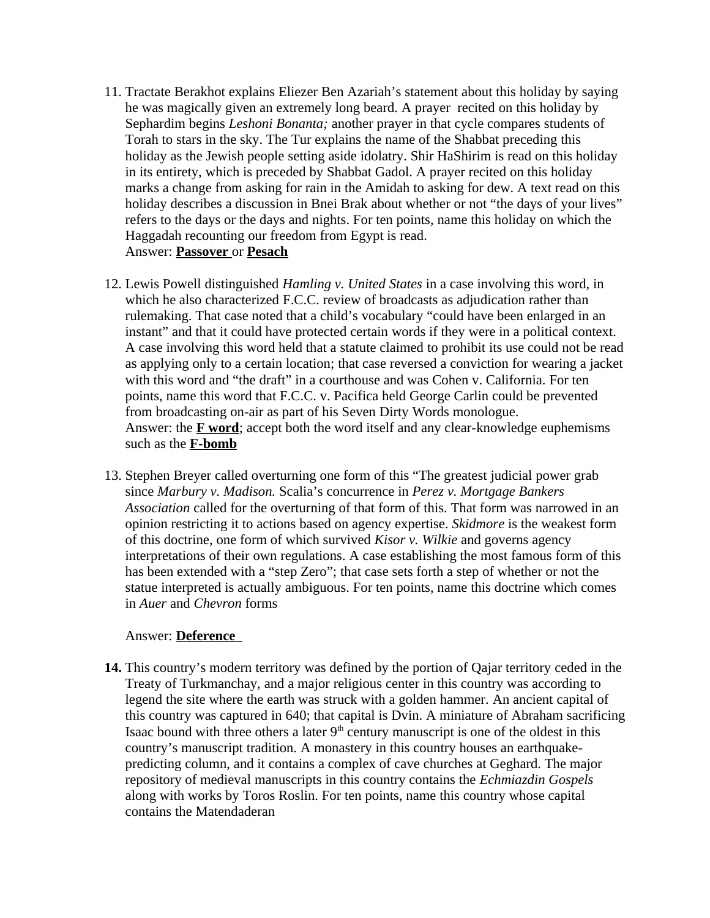- 11. Tractate Berakhot explains Eliezer Ben Azariah's statement about this holiday by saying he was magically given an extremely long beard. A prayer recited on this holiday by Sephardim begins *Leshoni Bonanta;* another prayer in that cycle compares students of Torah to stars in the sky. The Tur explains the name of the Shabbat preceding this holiday as the Jewish people setting aside idolatry. Shir HaShirim is read on this holiday in its entirety, which is preceded by Shabbat Gadol. A prayer recited on this holiday marks a change from asking for rain in the Amidah to asking for dew. A text read on this holiday describes a discussion in Bnei Brak about whether or not "the days of your lives" refers to the days or the days and nights. For ten points, name this holiday on which the Haggadah recounting our freedom from Egypt is read. Answer: **Passover** or **Pesach**
- 12. Lewis Powell distinguished *Hamling v. United States* in a case involving this word, in which he also characterized F.C.C. review of broadcasts as adjudication rather than rulemaking. That case noted that a child's vocabulary "could have been enlarged in an instant" and that it could have protected certain words if they were in a political context. A case involving this word held that a statute claimed to prohibit its use could not be read as applying only to a certain location; that case reversed a conviction for wearing a jacket with this word and "the draft" in a courthouse and was Cohen v. California. For ten points, name this word that F.C.C. v. Pacifica held George Carlin could be prevented from broadcasting on-air as part of his Seven Dirty Words monologue. Answer: the **F word**; accept both the word itself and any clear-knowledge euphemisms such as the **F-bomb**
- 13. Stephen Breyer called overturning one form of this "The greatest judicial power grab since *Marbury v. Madison.* Scalia's concurrence in *Perez v. Mortgage Bankers Association* called for the overturning of that form of this. That form was narrowed in an opinion restricting it to actions based on agency expertise. *Skidmore* is the weakest form of this doctrine, one form of which survived *Kisor v. Wilkie* and governs agency interpretations of their own regulations. A case establishing the most famous form of this has been extended with a "step Zero"; that case sets forth a step of whether or not the statue interpreted is actually ambiguous. For ten points, name this doctrine which comes in *Auer* and *Chevron* forms

## Answer: **Deference**

**14.** This country's modern territory was defined by the portion of Qajar territory ceded in the Treaty of Turkmanchay, and a major religious center in this country was according to legend the site where the earth was struck with a golden hammer. An ancient capital of this country was captured in 640; that capital is Dvin. A miniature of Abraham sacrificing Isaac bound with three others a later  $9<sup>th</sup>$  century manuscript is one of the oldest in this country's manuscript tradition. A monastery in this country houses an earthquakepredicting column, and it contains a complex of cave churches at Geghard. The major repository of medieval manuscripts in this country contains the *Echmiazdin Gospels* along with works by Toros Roslin. For ten points, name this country whose capital contains the Matendaderan